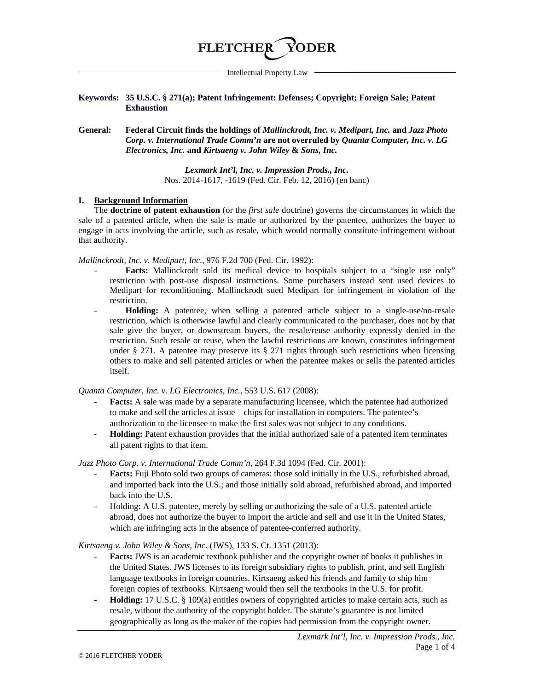

Intellectual Property Law

### **Keywords: 35 U.S.C. § 271(a); Patent Infringement: Defenses; Copyright; Foreign Sale; Patent Exhaustion**

**General: Federal Circuit finds the holdings of** *Mallinckrodt, Inc. v. Medipart, Inc.* **and** *Jazz Photo Corp. v. International Trade Comm'n* **are not overruled by** *Quanta Computer, Inc. v. LG Electronics, Inc.* **and** *Kirtsaeng v. John Wiley* **&** *Sons, Inc.*

> *Lexmark Int'l, Inc. v. Impression Prods., Inc.* Nos. 2014-1617, -1619 (Fed. Cir. Feb. 12, 2016) (en banc)

#### **I. Background Information**

The **doctrine of patent exhaustion** (or the *first sale* doctrine) governs the circumstances in which the sale of a patented article, when the sale is made or authorized by the patentee, authorizes the buyer to engage in acts involving the article, such as resale, which would normally constitute infringement without that authority.

*Mallinckrodt, Inc. v. Medipart, Inc.*, 976 F.2d 700 (Fed. Cir. 1992):

- Facts: Mallinckrodt sold its medical device to hospitals subject to a "single use only" restriction with post-use disposal instructions. Some purchasers instead sent used devices to Medipart for reconditioning. Mallinckrodt sued Medipart for infringement in violation of the restriction.
- **Holding:** A patentee, when selling a patented article subject to a single-use/no-resale restriction, which is otherwise lawful and clearly communicated to the purchaser, does not by that sale give the buyer, or downstream buyers, the resale/reuse authority expressly denied in the restriction. Such resale or reuse, when the lawful restrictions are known, constitutes infringement under § 271. A patentee may preserve its § 271 rights through such restrictions when licensing others to make and sell patented articles or when the patentee makes or sells the patented articles itself.

*Quanta Computer, Inc. v. LG Electronics, Inc.*, 553 U.S. 617 (2008):

- **Facts:** A sale was made by a separate manufacturing licensee, which the patentee had authorized to make and sell the articles at issue – chips for installation in computers. The patentee's authorization to the licensee to make the first sales was not subject to any conditions.
- **Holding:** Patent exhaustion provides that the initial authorized sale of a patented item terminates all patent rights to that item.

*Jazz Photo Corp. v. International Trade Comm'n*, 264 F.3d 1094 (Fed. Cir. 2001):

- Facts: Fuji Photo sold two groups of cameras: those sold initially in the U.S., refurbished abroad, and imported back into the U.S.; and those initially sold abroad, refurbished abroad, and imported back into the U.S.
- Holding: A U.S. patentee, merely by selling or authorizing the sale of a U.S. patented article abroad, does not authorize the buyer to import the article and sell and use it in the United States, which are infringing acts in the absence of patentee-conferred authority.

*Kirtsaeng v. John Wiley & Sons, Inc.* (JWS), 133 S. Ct. 1351 (2013):

- **Facts:** JWS is an academic textbook publisher and the copyright owner of books it publishes in the United States. JWS licenses to its foreign subsidiary rights to publish, print, and sell English language textbooks in foreign countries. Kirtsaeng asked his friends and family to ship him foreign copies of textbooks. Kirtsaeng would then sell the textbooks in the U.S. for profit.
- **Holding:** 17 U.S.C. § 109(a) entitles owners of copyrighted articles to make certain acts, such as resale, without the authority of the copyright holder. The statute's guarantee is not limited geographically as long as the maker of the copies had permission from the copyright owner.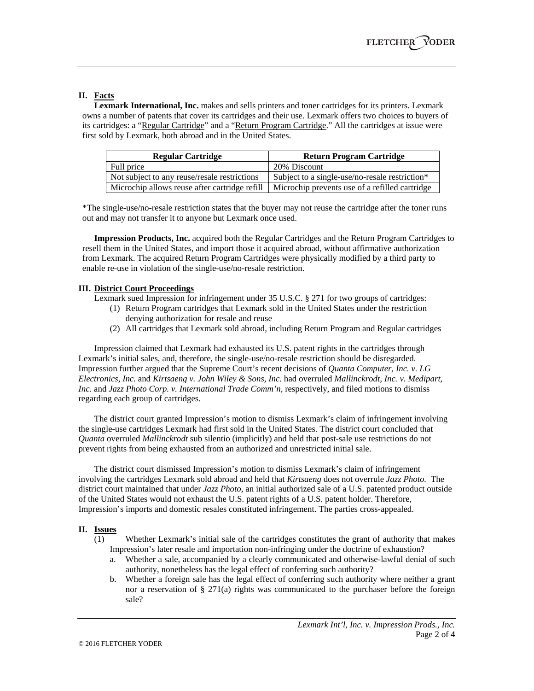# **II. Facts**

**Lexmark International, Inc.** makes and sells printers and toner cartridges for its printers. Lexmark owns a number of patents that cover its cartridges and their use. Lexmark offers two choices to buyers of its cartridges: a "Regular Cartridge" and a "Return Program Cartridge." All the cartridges at issue were first sold by Lexmark, both abroad and in the United States.

| <b>Regular Cartridge</b>                      | <b>Return Program Cartridge</b>                |
|-----------------------------------------------|------------------------------------------------|
| Full price                                    | 20% Discount                                   |
| Not subject to any reuse/resale restrictions  | Subject to a single-use/no-resale restriction* |
| Microchip allows reuse after cartridge refill | Microchip prevents use of a refilled cartridge |

\*The single-use/no-resale restriction states that the buyer may not reuse the cartridge after the toner runs out and may not transfer it to anyone but Lexmark once used.

**Impression Products, Inc.** acquired both the Regular Cartridges and the Return Program Cartridges to resell them in the United States, and import those it acquired abroad, without affirmative authorization from Lexmark. The acquired Return Program Cartridges were physically modified by a third party to enable re-use in violation of the single-use/no-resale restriction.

### **III. District Court Proceedings**

Lexmark sued Impression for infringement under 35 U.S.C. § 271 for two groups of cartridges:

- (1) Return Program cartridges that Lexmark sold in the United States under the restriction denying authorization for resale and reuse
- (2) All cartridges that Lexmark sold abroad, including Return Program and Regular cartridges

Impression claimed that Lexmark had exhausted its U.S. patent rights in the cartridges through Lexmark's initial sales, and, therefore, the single-use/no-resale restriction should be disregarded. Impression further argued that the Supreme Court's recent decisions of *Quanta Computer, Inc. v. LG Electronics, Inc.* and *Kirtsaeng v. John Wiley & Sons, Inc.* had overruled *Mallinckrodt, Inc. v. Medipart, Inc.* and *Jazz Photo Corp. v. International Trade Comm'n*, respectively, and filed motions to dismiss regarding each group of cartridges.

The district court granted Impression's motion to dismiss Lexmark's claim of infringement involving the single-use cartridges Lexmark had first sold in the United States. The district court concluded that *Quanta* overruled *Mallinckrodt* sub silentio (implicitly) and held that post-sale use restrictions do not prevent rights from being exhausted from an authorized and unrestricted initial sale.

The district court dismissed Impression's motion to dismiss Lexmark's claim of infringement involving the cartridges Lexmark sold abroad and held that *Kirtsaeng* does not overrule *Jazz Photo.* The district court maintained that under *Jazz Photo*, an initial authorized sale of a U.S. patented product outside of the United States would not exhaust the U.S. patent rights of a U.S. patent holder. Therefore, Impression's imports and domestic resales constituted infringement. The parties cross-appealed.

#### **II. Issues**

- (1) Whether Lexmark's initial sale of the cartridges constitutes the grant of authority that makes Impression's later resale and importation non-infringing under the doctrine of exhaustion?
	- a. Whether a sale, accompanied by a clearly communicated and otherwise-lawful denial of such authority, nonetheless has the legal effect of conferring such authority?
	- b. Whether a foreign sale has the legal effect of conferring such authority where neither a grant nor a reservation of  $\S 271(a)$  rights was communicated to the purchaser before the foreign sale?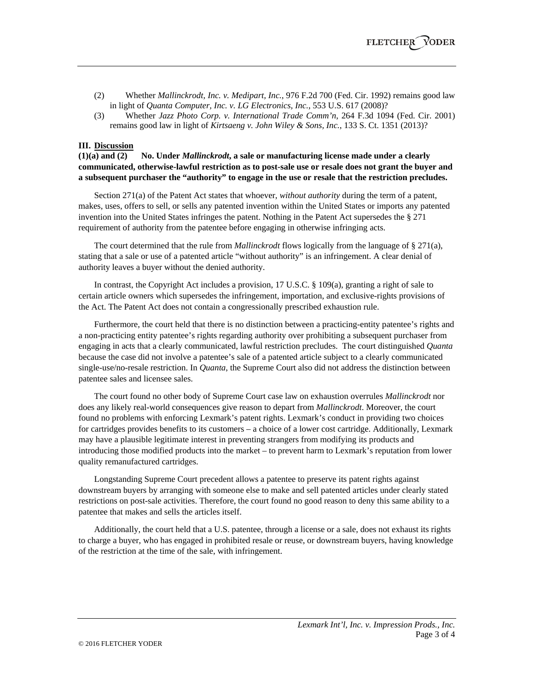- (2) Whether *Mallinckrodt, Inc. v. Medipart, Inc.*, 976 F.2d 700 (Fed. Cir. 1992) remains good law in light of *Quanta Computer, Inc. v. LG Electronics, Inc.*, 553 U.S. 617 (2008)?
- (3) Whether *Jazz Photo Corp. v. International Trade Comm'n*, 264 F.3d 1094 (Fed. Cir. 2001) remains good law in light of *Kirtsaeng v. John Wiley & Sons, Inc.*, 133 S. Ct. 1351 (2013)?

#### **III. Discussion**

**(1)(a) and (2) No. Under** *Mallinckrodt***, a sale or manufacturing license made under a clearly communicated, otherwise-lawful restriction as to post-sale use or resale does not grant the buyer and a subsequent purchaser the "authority" to engage in the use or resale that the restriction precludes.**

Section 271(a) of the Patent Act states that whoever, *without authority* during the term of a patent, makes, uses, offers to sell, or sells any patented invention within the United States or imports any patented invention into the United States infringes the patent. Nothing in the Patent Act supersedes the § 271 requirement of authority from the patentee before engaging in otherwise infringing acts.

The court determined that the rule from *Mallinckrodt* flows logically from the language of § 271(a), stating that a sale or use of a patented article "without authority" is an infringement. A clear denial of authority leaves a buyer without the denied authority.

In contrast, the Copyright Act includes a provision, 17 U.S.C. § 109(a), granting a right of sale to certain article owners which supersedes the infringement, importation, and exclusive-rights provisions of the Act. The Patent Act does not contain a congressionally prescribed exhaustion rule.

Furthermore, the court held that there is no distinction between a practicing-entity patentee's rights and a non-practicing entity patentee's rights regarding authority over prohibiting a subsequent purchaser from engaging in acts that a clearly communicated, lawful restriction precludes. The court distinguished *Quanta* because the case did not involve a patentee's sale of a patented article subject to a clearly communicated single-use/no-resale restriction. In *Quanta*, the Supreme Court also did not address the distinction between patentee sales and licensee sales.

The court found no other body of Supreme Court case law on exhaustion overrules *Mallinckrodt* nor does any likely real-world consequences give reason to depart from *Mallinckrodt*. Moreover, the court found no problems with enforcing Lexmark's patent rights. Lexmark's conduct in providing two choices for cartridges provides benefits to its customers – a choice of a lower cost cartridge. Additionally, Lexmark may have a plausible legitimate interest in preventing strangers from modifying its products and introducing those modified products into the market – to prevent harm to Lexmark's reputation from lower quality remanufactured cartridges.

Longstanding Supreme Court precedent allows a patentee to preserve its patent rights against downstream buyers by arranging with someone else to make and sell patented articles under clearly stated restrictions on post-sale activities. Therefore, the court found no good reason to deny this same ability to a patentee that makes and sells the articles itself.

Additionally, the court held that a U.S. patentee, through a license or a sale, does not exhaust its rights to charge a buyer, who has engaged in prohibited resale or reuse, or downstream buyers, having knowledge of the restriction at the time of the sale, with infringement.